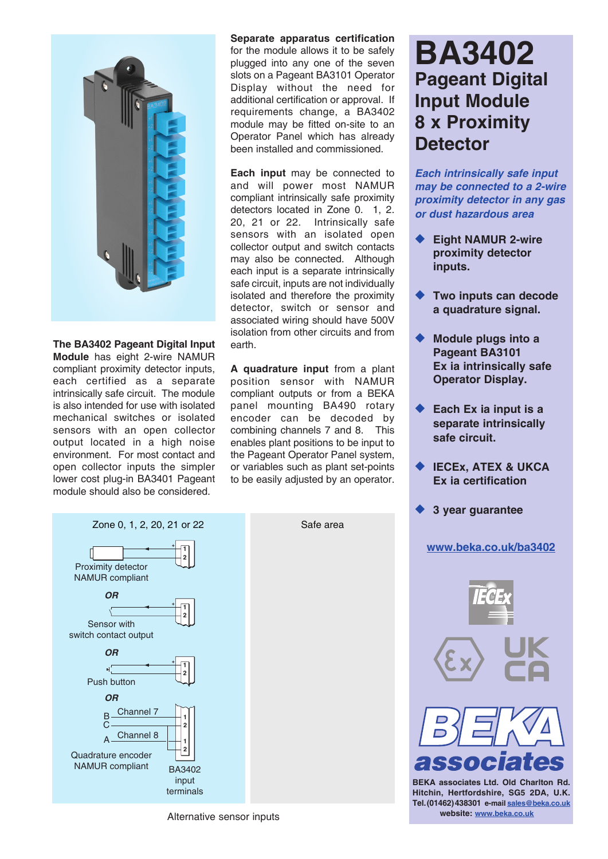

**The BA3402 Pageant Digital Input Module** has eight 2-wire NAMUR compliant proximity detector inputs, each certified as a separate intrinsically safe circuit. The module is also intended for use with isolated mechanical switches or isolated sensors with an open collector output located in a high noise environment. For most contact and open collector inputs the simpler lower cost plug-in BA3401 Pageant module should also be considered.

**Separate apparatus certification** for the module allows it to be safely plugged into any one of the seven slots on a Pageant BA3101 Operator Display without the need for additional certification or approval. If requirements change, a BA3402 module may be fitted on-site to an Operator Panel which has already been installed and commissioned.

**Each input** may be connected to and will power most NAMUR compliant intrinsically safe proximity detectors located in Zone 0. 1, 2. 20, 21 or 22. Intrinsically safe sensors with an isolated open collector output and switch contacts may also be connected. Although each input is a separate intrinsically safe circuit, inputs are not individually isolated and therefore the proximity detector, switch or sensor and associated wiring should have 500V isolation from other circuits and from earth.

**A quadrature input** from a plant position sensor with NAMUR compliant outputs or from a BEKA panel mounting BA490 rotary encoder can be decoded by combining channels 7 and 8. This enables plant positions to be input to the Pageant Operator Panel system, or variables such as plant set-points to be easily adjusted by an operator.

**BA3402 Pageant Digital Input Module 8 x Proximity Detector**

*Each intrinsically safe input may be connected to a 2-wire proximity detector in any gas or dust hazardous area*

- **Eight NAMUR 2-wire proximity detector inputs.**
- **Two inputs can decode a quadrature signal.**
- **Module plugs into a Pageant BA3101 Ex ia intrinsically safe Operator Display.**
- Each Ex ia input is a **separate intrinsically safe circuit.**
- **IECEX, ATEX & UKCA Ex ia certification**
- **3 year quarantee**

## **[www.beka.co.uk/ba3402](https://www.beka.co.uk/ba3402)**



**BEKA associates Ltd. Old Charlton Rd. Hitchin, Hertfordshire, SG5 2DA, U.K. Tel.(01462)438301 e-mail sales@beka.co.uk** Alternative sensor inputs **and alternative sensor inputs** website: www.beka.co.uk